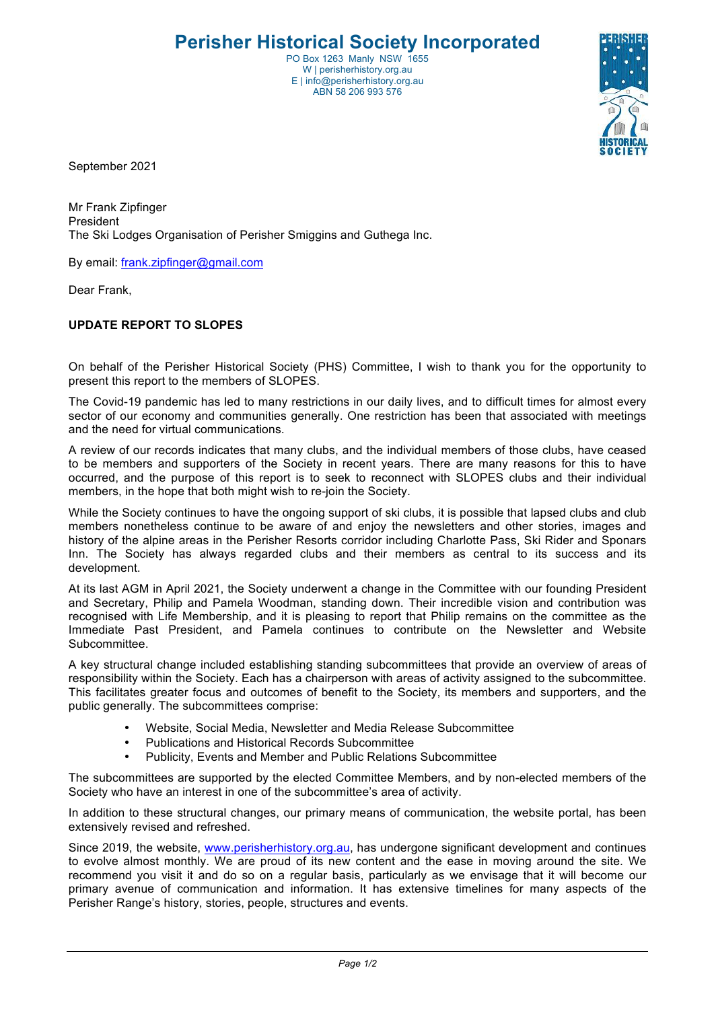*Page 1/2*

**Perisher Historical Society Incorporated**

PO Box 1263 Manly NSW 1655 W | perisherhistory.org.au E | info@perisherhistory.org.au ABN 58 206 993 576

September 2021

Mr Frank Zipfinger President The Ski Lodges Organisation of Perisher Smiggins and Guthega Inc.

By email: frank.zipfinger@gmail.com

Dear Frank,

## **UPDATE REPORT TO SLOPES**

On behalf of the Perisher Historical Society (PHS) Committee, I wish to thank you for the opportunity to present this report to the members of SLOPES.

The Covid-19 pandemic has led to many restrictions in our daily lives, and to difficult times for almost every sector of our economy and communities generally. One restriction has been that associated with meetings and the need for virtual communications.

A review of our records indicates that many clubs, and the individual members of those clubs, have ceased to be members and supporters of the Society in recent years. There are many reasons for this to have occurred, and the purpose of this report is to seek to reconnect with SLOPES clubs and their individual members, in the hope that both might wish to re-join the Society.

While the Society continues to have the ongoing support of ski clubs, it is possible that lapsed clubs and club members nonetheless continue to be aware of and enjoy the newsletters and other stories, images and history of the alpine areas in the Perisher Resorts corridor including Charlotte Pass, Ski Rider and Sponars Inn. The Society has always regarded clubs and their members as central to its success and its development.

At its last AGM in April 2021, the Society underwent a change in the Committee with our founding President and Secretary, Philip and Pamela Woodman, standing down. Their incredible vision and contribution was recognised with Life Membership, and it is pleasing to report that Philip remains on the committee as the Immediate Past President, and Pamela continues to contribute on the Newsletter and Website Subcommittee.

A key structural change included establishing standing subcommittees that provide an overview of areas of responsibility within the Society. Each has a chairperson with areas of activity assigned to the subcommittee. This facilitates greater focus and outcomes of benefit to the Society, its members and supporters, and the public generally. The subcommittees comprise:

- Website, Social Media, Newsletter and Media Release Subcommittee
- Publications and Historical Records Subcommittee
- Publicity, Events and Member and Public Relations Subcommittee

The subcommittees are supported by the elected Committee Members, and by non-elected members of the Society who have an interest in one of the subcommittee's area of activity.

In addition to these structural changes, our primary means of communication, the website portal, has been extensively revised and refreshed.

Since 2019, the website, www.perisherhistory.org.au, has undergone significant development and continues to evolve almost monthly. We are proud of its new content and the ease in moving around the site. We recommend you visit it and do so on a regular basis, particularly as we envisage that it will become our primary avenue of communication and information. It has extensive timelines for many aspects of the Perisher Range's history, stories, people, structures and events.